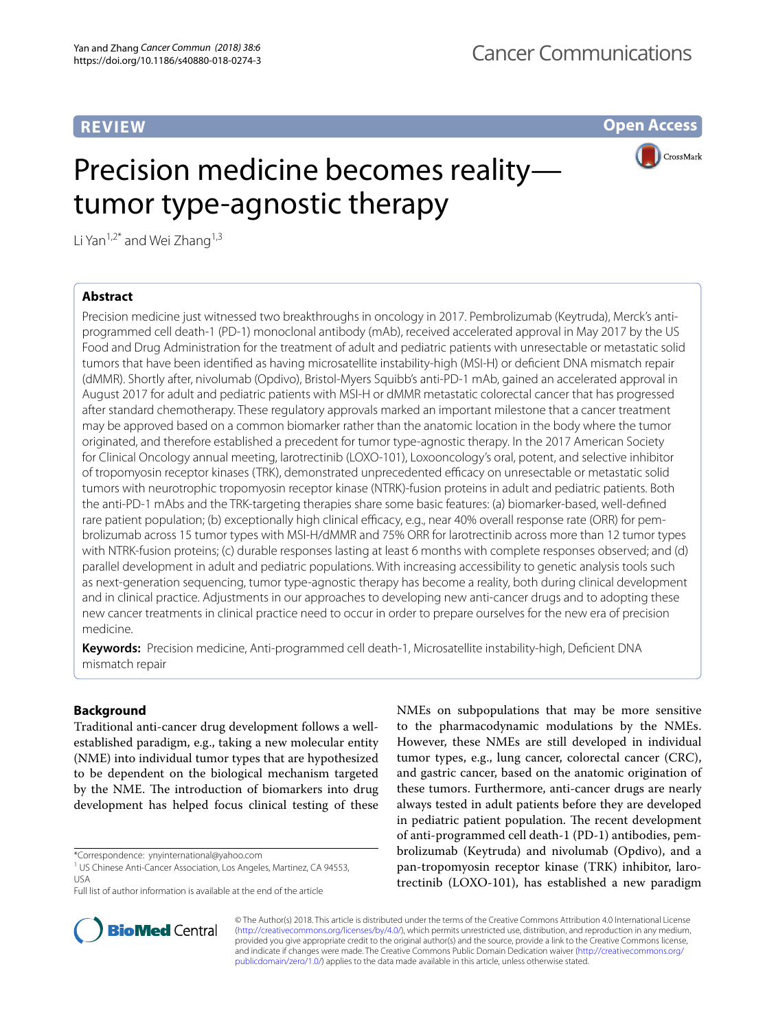# **REVIEW**

**Open Access**

# Precision medicine becomes reality tumor type-agnostic therapy



Li Yan<sup>1,2\*</sup> and Wei Zhang<sup>1,3</sup>

# **Abstract**

Precision medicine just witnessed two breakthroughs in oncology in 2017. Pembrolizumab (Keytruda), Merck's antiprogrammed cell death-1 (PD-1) monoclonal antibody (mAb), received accelerated approval in May 2017 by the US Food and Drug Administration for the treatment of adult and pediatric patients with unresectable or metastatic solid tumors that have been identifed as having microsatellite instability-high (MSI-H) or defcient DNA mismatch repair (dMMR). Shortly after, nivolumab (Opdivo), Bristol-Myers Squibb's anti-PD-1 mAb, gained an accelerated approval in August 2017 for adult and pediatric patients with MSI-H or dMMR metastatic colorectal cancer that has progressed after standard chemotherapy. These regulatory approvals marked an important milestone that a cancer treatment may be approved based on a common biomarker rather than the anatomic location in the body where the tumor originated, and therefore established a precedent for tumor type-agnostic therapy. In the 2017 American Society for Clinical Oncology annual meeting, larotrectinib (LOXO-101), Loxooncology's oral, potent, and selective inhibitor of tropomyosin receptor kinases (TRK), demonstrated unprecedented efficacy on unresectable or metastatic solid tumors with neurotrophic tropomyosin receptor kinase (NTRK)-fusion proteins in adult and pediatric patients. Both the anti-PD-1 mAbs and the TRK-targeting therapies share some basic features: (a) biomarker-based, well-defned rare patient population; (b) exceptionally high clinical efficacy, e.g., near 40% overall response rate (ORR) for pembrolizumab across 15 tumor types with MSI-H/dMMR and 75% ORR for larotrectinib across more than 12 tumor types with NTRK-fusion proteins; (c) durable responses lasting at least 6 months with complete responses observed; and (d) parallel development in adult and pediatric populations. With increasing accessibility to genetic analysis tools such as next-generation sequencing, tumor type-agnostic therapy has become a reality, both during clinical development and in clinical practice. Adjustments in our approaches to developing new anti-cancer drugs and to adopting these new cancer treatments in clinical practice need to occur in order to prepare ourselves for the new era of precision medicine.

**Keywords:** Precision medicine, Anti-programmed cell death-1, Microsatellite instability-high, Defcient DNA mismatch repair

# **Background**

Traditional anti-cancer drug development follows a wellestablished paradigm, e.g., taking a new molecular entity (NME) into individual tumor types that are hypothesized to be dependent on the biological mechanism targeted by the NME. The introduction of biomarkers into drug development has helped focus clinical testing of these

\*Correspondence: ynyinternational@yahoo.com





© The Author(s) 2018. This article is distributed under the terms of the Creative Commons Attribution 4.0 International License [\(http://creativecommons.org/licenses/by/4.0/\)](http://creativecommons.org/licenses/by/4.0/), which permits unrestricted use, distribution, and reproduction in any medium, provided you give appropriate credit to the original author(s) and the source, provide a link to the Creative Commons license, and indicate if changes were made. The Creative Commons Public Domain Dedication waiver ([http://creativecommons.org/](http://creativecommons.org/publicdomain/zero/1.0/) [publicdomain/zero/1.0/](http://creativecommons.org/publicdomain/zero/1.0/)) applies to the data made available in this article, unless otherwise stated.

<sup>&</sup>lt;sup>1</sup> US Chinese Anti-Cancer Association, Los Angeles, Martinez, CA 94553, USA

Full list of author information is available at the end of the article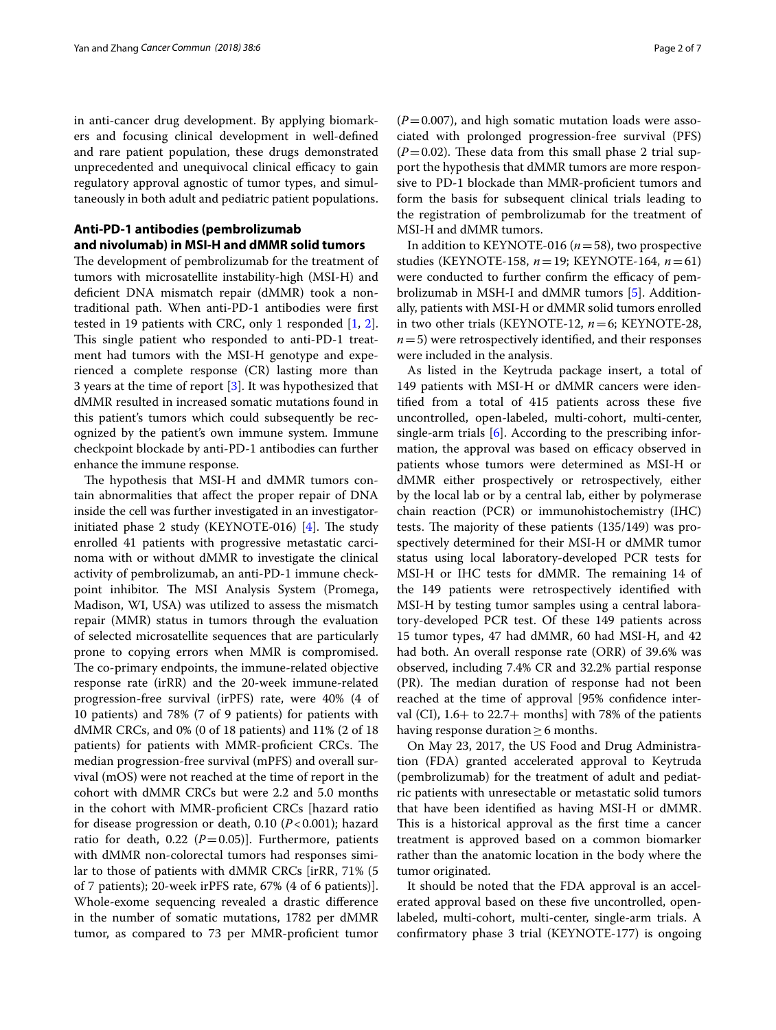in anti-cancer drug development. By applying biomarkers and focusing clinical development in well-defned and rare patient population, these drugs demonstrated unprecedented and unequivocal clinical efficacy to gain regulatory approval agnostic of tumor types, and simultaneously in both adult and pediatric patient populations.

# **Anti‑PD‑1 antibodies (pembrolizumab and nivolumab) in MSI‑H and dMMR solid tumors**

The development of pembrolizumab for the treatment of tumors with microsatellite instability-high (MSI-H) and deficient DNA mismatch repair (dMMR) took a nontraditional path. When anti-PD-1 antibodies were frst tested in 19 patients with CRC, only 1 responded [[1,](#page-5-0) [2](#page-5-1)]. This single patient who responded to anti-PD-1 treatment had tumors with the MSI-H genotype and experienced a complete response (CR) lasting more than 3 years at the time of report [\[3](#page-5-2)]. It was hypothesized that dMMR resulted in increased somatic mutations found in this patient's tumors which could subsequently be recognized by the patient's own immune system. Immune checkpoint blockade by anti-PD-1 antibodies can further enhance the immune response.

The hypothesis that MSI-H and dMMR tumors contain abnormalities that afect the proper repair of DNA inside the cell was further investigated in an investigatorinitiated phase 2 study (KEYNOTE-016)  $[4]$  $[4]$ . The study enrolled 41 patients with progressive metastatic carcinoma with or without dMMR to investigate the clinical activity of pembrolizumab, an anti-PD-1 immune checkpoint inhibitor. The MSI Analysis System (Promega, Madison, WI, USA) was utilized to assess the mismatch repair (MMR) status in tumors through the evaluation of selected microsatellite sequences that are particularly prone to copying errors when MMR is compromised. The co-primary endpoints, the immune-related objective response rate (irRR) and the 20-week immune-related progression-free survival (irPFS) rate, were 40% (4 of 10 patients) and 78% (7 of 9 patients) for patients with dMMR CRCs, and 0% (0 of 18 patients) and 11% (2 of 18 patients) for patients with MMR-proficient CRCs. The median progression-free survival (mPFS) and overall survival (mOS) were not reached at the time of report in the cohort with dMMR CRCs but were 2.2 and 5.0 months in the cohort with MMR-proficient CRCs [hazard ratio for disease progression or death, 0.10 (*P*<0.001); hazard ratio for death, 0.22  $(P=0.05)$ ]. Furthermore, patients with dMMR non-colorectal tumors had responses similar to those of patients with dMMR CRCs [irRR, 71% (5 of 7 patients); 20-week irPFS rate, 67% (4 of 6 patients)]. Whole-exome sequencing revealed a drastic diference in the number of somatic mutations, 1782 per dMMR tumor, as compared to 73 per MMR-proficient tumor  $(P=0.007)$ , and high somatic mutation loads were associated with prolonged progression-free survival (PFS)  $(P=0.02)$ . These data from this small phase 2 trial support the hypothesis that dMMR tumors are more responsive to PD-1 blockade than MMR-profcient tumors and form the basis for subsequent clinical trials leading to the registration of pembrolizumab for the treatment of MSI-H and dMMR tumors.

In addition to KEYNOTE-016 (*n*=58), two prospective studies (KEYNOTE-158, *n*=19; KEYNOTE-164, *n*=61) were conducted to further confirm the efficacy of pembrolizumab in MSH-I and dMMR tumors [[5\]](#page-5-4). Additionally, patients with MSI-H or dMMR solid tumors enrolled in two other trials (KEYNOTE-12, *n*=6; KEYNOTE-28,  $n=5$ ) were retrospectively identified, and their responses were included in the analysis.

As listed in the Keytruda package insert, a total of 149 patients with MSI-H or dMMR cancers were identifed from a total of 415 patients across these fve uncontrolled, open-labeled, multi-cohort, multi-center, single-arm trials [[6\]](#page-5-5). According to the prescribing information, the approval was based on efficacy observed in patients whose tumors were determined as MSI-H or dMMR either prospectively or retrospectively, either by the local lab or by a central lab, either by polymerase chain reaction (PCR) or immunohistochemistry (IHC) tests. The majority of these patients  $(135/149)$  was prospectively determined for their MSI-H or dMMR tumor status using local laboratory-developed PCR tests for MSI-H or IHC tests for dMMR. The remaining 14 of the 149 patients were retrospectively identifed with MSI-H by testing tumor samples using a central laboratory-developed PCR test. Of these 149 patients across 15 tumor types, 47 had dMMR, 60 had MSI-H, and 42 had both. An overall response rate (ORR) of 39.6% was observed, including 7.4% CR and 32.2% partial response (PR). The median duration of response had not been reached at the time of approval [95% confdence interval (CI),  $1.6+$  to 22.7+ months] with 78% of the patients having response duration  $\geq 6$  months.

On May 23, 2017, the US Food and Drug Administration (FDA) granted accelerated approval to Keytruda (pembrolizumab) for the treatment of adult and pediatric patients with unresectable or metastatic solid tumors that have been identifed as having MSI-H or dMMR. This is a historical approval as the first time a cancer treatment is approved based on a common biomarker rather than the anatomic location in the body where the tumor originated.

It should be noted that the FDA approval is an accelerated approval based on these fve uncontrolled, openlabeled, multi-cohort, multi-center, single-arm trials. A confrmatory phase 3 trial (KEYNOTE-177) is ongoing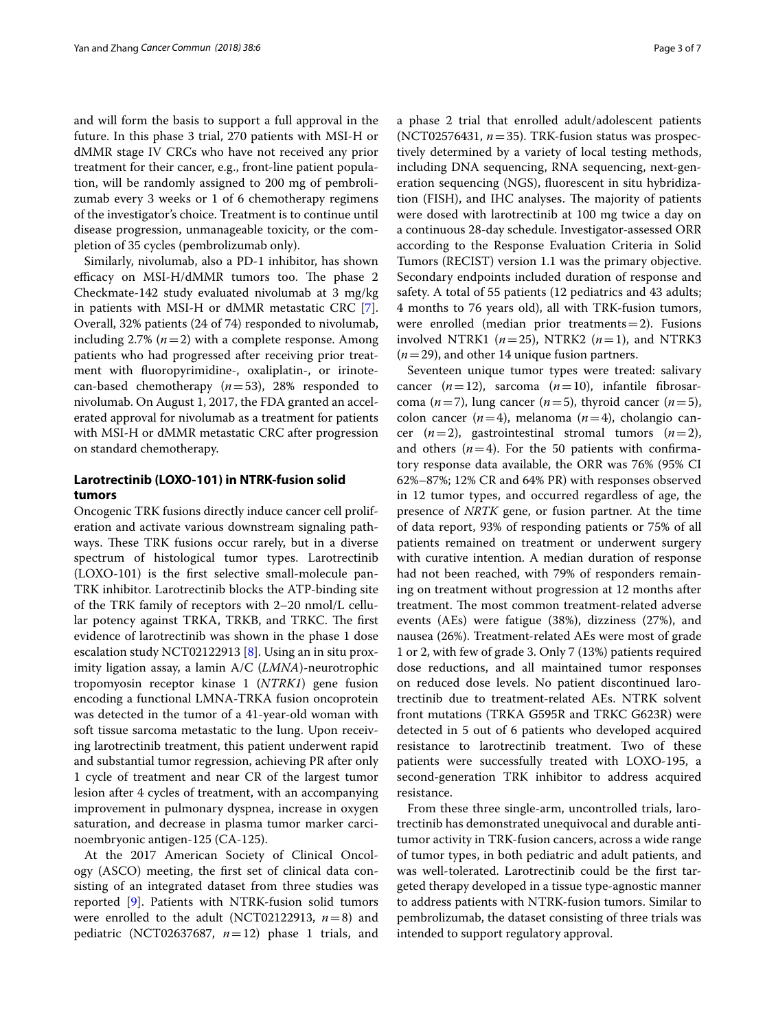and will form the basis to support a full approval in the future. In this phase 3 trial, 270 patients with MSI-H or dMMR stage IV CRCs who have not received any prior treatment for their cancer, e.g., front-line patient population, will be randomly assigned to 200 mg of pembrolizumab every 3 weeks or 1 of 6 chemotherapy regimens of the investigator's choice. Treatment is to continue until disease progression, unmanageable toxicity, or the completion of 35 cycles (pembrolizumab only).

Similarly, nivolumab, also a PD-1 inhibitor, has shown efficacy on MSI-H/dMMR tumors too. The phase 2 Checkmate-142 study evaluated nivolumab at 3 mg/kg in patients with MSI-H or dMMR metastatic CRC [\[7](#page-5-6)]. Overall, 32% patients (24 of 74) responded to nivolumab, including 2.7%  $(n=2)$  with a complete response. Among patients who had progressed after receiving prior treatment with fuoropyrimidine-, oxaliplatin-, or irinotecan-based chemotherapy (*n*=53), 28% responded to nivolumab. On August 1, 2017, the FDA granted an accelerated approval for nivolumab as a treatment for patients with MSI-H or dMMR metastatic CRC after progression on standard chemotherapy.

## **Larotrectinib (LOXO‑101) in NTRK‑fusion solid tumors**

Oncogenic TRK fusions directly induce cancer cell proliferation and activate various downstream signaling pathways. These TRK fusions occur rarely, but in a diverse spectrum of histological tumor types. Larotrectinib (LOXO-101) is the frst selective small-molecule pan-TRK inhibitor. Larotrectinib blocks the ATP-binding site of the TRK family of receptors with 2–20 nmol/L cellular potency against TRKA, TRKB, and TRKC. The first evidence of larotrectinib was shown in the phase 1 dose escalation study NCT02122913 [\[8\]](#page-5-7). Using an in situ proximity ligation assay, a lamin A/C (*LMNA*)-neurotrophic tropomyosin receptor kinase 1 (*NTRK1*) gene fusion encoding a functional LMNA-TRKA fusion oncoprotein was detected in the tumor of a 41-year-old woman with soft tissue sarcoma metastatic to the lung. Upon receiving larotrectinib treatment, this patient underwent rapid and substantial tumor regression, achieving PR after only 1 cycle of treatment and near CR of the largest tumor lesion after 4 cycles of treatment, with an accompanying improvement in pulmonary dyspnea, increase in oxygen saturation, and decrease in plasma tumor marker carcinoembryonic antigen-125 (CA-125).

At the 2017 American Society of Clinical Oncology (ASCO) meeting, the frst set of clinical data consisting of an integrated dataset from three studies was reported [\[9](#page-6-0)]. Patients with NTRK-fusion solid tumors were enrolled to the adult (NCT02122913,  $n=8$ ) and pediatric (NCT02637687, *n*=12) phase 1 trials, and a phase 2 trial that enrolled adult/adolescent patients (NCT02576431,  $n = 35$ ). TRK-fusion status was prospectively determined by a variety of local testing methods, including DNA sequencing, RNA sequencing, next-generation sequencing (NGS), fuorescent in situ hybridization (FISH), and IHC analyses. The majority of patients were dosed with larotrectinib at 100 mg twice a day on a continuous 28-day schedule. Investigator-assessed ORR according to the Response Evaluation Criteria in Solid Tumors (RECIST) version 1.1 was the primary objective. Secondary endpoints included duration of response and safety. A total of 55 patients (12 pediatrics and 43 adults; 4 months to 76 years old), all with TRK-fusion tumors, were enrolled (median prior treatments=2). Fusions involved NTRK1 ( $n=25$ ), NTRK2 ( $n=1$ ), and NTRK3  $(n=29)$ , and other 14 unique fusion partners.

Seventeen unique tumor types were treated: salivary cancer  $(n=12)$ , sarcoma  $(n=10)$ , infantile fibrosarcoma ( $n=7$ ), lung cancer ( $n=5$ ), thyroid cancer ( $n=5$ ), colon cancer (*n*=4), melanoma (*n*=4), cholangio cancer (*n*=2), gastrointestinal stromal tumors (*n*=2), and others  $(n=4)$ . For the 50 patients with confirmatory response data available, the ORR was 76% (95% CI 62%–87%; 12% CR and 64% PR) with responses observed in 12 tumor types, and occurred regardless of age, the presence of *NRTK* gene, or fusion partner. At the time of data report, 93% of responding patients or 75% of all patients remained on treatment or underwent surgery with curative intention. A median duration of response had not been reached, with 79% of responders remaining on treatment without progression at 12 months after treatment. The most common treatment-related adverse events (AEs) were fatigue (38%), dizziness (27%), and nausea (26%). Treatment-related AEs were most of grade 1 or 2, with few of grade 3. Only 7 (13%) patients required dose reductions, and all maintained tumor responses on reduced dose levels. No patient discontinued larotrectinib due to treatment-related AEs. NTRK solvent front mutations (TRKA G595R and TRKC G623R) were detected in 5 out of 6 patients who developed acquired resistance to larotrectinib treatment. Two of these patients were successfully treated with LOXO-195, a second-generation TRK inhibitor to address acquired resistance.

From these three single-arm, uncontrolled trials, larotrectinib has demonstrated unequivocal and durable antitumor activity in TRK-fusion cancers, across a wide range of tumor types, in both pediatric and adult patients, and was well-tolerated. Larotrectinib could be the frst targeted therapy developed in a tissue type-agnostic manner to address patients with NTRK-fusion tumors. Similar to pembrolizumab, the dataset consisting of three trials was intended to support regulatory approval.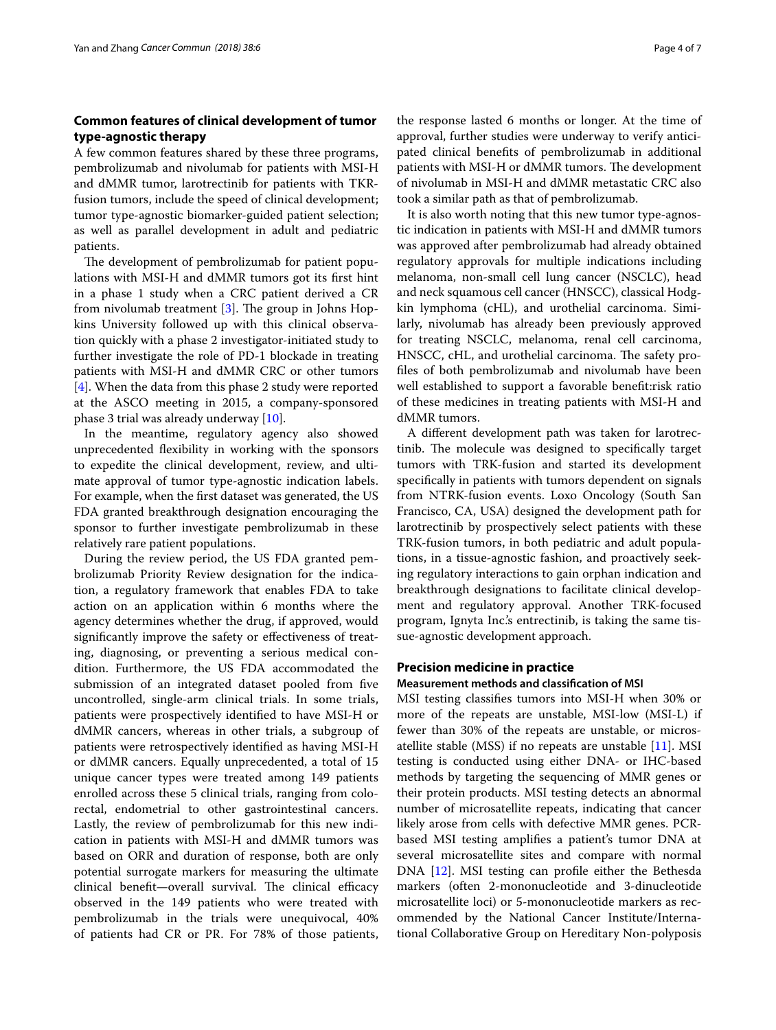# **Common features of clinical development of tumor type‑agnostic therapy**

A few common features shared by these three programs, pembrolizumab and nivolumab for patients with MSI-H and dMMR tumor, larotrectinib for patients with TKRfusion tumors, include the speed of clinical development; tumor type-agnostic biomarker-guided patient selection; as well as parallel development in adult and pediatric patients.

The development of pembrolizumab for patient populations with MSI-H and dMMR tumors got its frst hint in a phase 1 study when a CRC patient derived a CR from nivolumab treatment  $[3]$  $[3]$ . The group in Johns Hopkins University followed up with this clinical observation quickly with a phase 2 investigator-initiated study to further investigate the role of PD-1 blockade in treating patients with MSI-H and dMMR CRC or other tumors [[4\]](#page-5-3). When the data from this phase 2 study were reported at the ASCO meeting in 2015, a company-sponsored phase 3 trial was already underway [\[10](#page-6-1)].

In the meantime, regulatory agency also showed unprecedented fexibility in working with the sponsors to expedite the clinical development, review, and ultimate approval of tumor type-agnostic indication labels. For example, when the frst dataset was generated, the US FDA granted breakthrough designation encouraging the sponsor to further investigate pembrolizumab in these relatively rare patient populations.

During the review period, the US FDA granted pembrolizumab Priority Review designation for the indication, a regulatory framework that enables FDA to take action on an application within 6 months where the agency determines whether the drug, if approved, would signifcantly improve the safety or efectiveness of treating, diagnosing, or preventing a serious medical condition. Furthermore, the US FDA accommodated the submission of an integrated dataset pooled from five uncontrolled, single-arm clinical trials. In some trials, patients were prospectively identifed to have MSI-H or dMMR cancers, whereas in other trials, a subgroup of patients were retrospectively identifed as having MSI-H or dMMR cancers. Equally unprecedented, a total of 15 unique cancer types were treated among 149 patients enrolled across these 5 clinical trials, ranging from colorectal, endometrial to other gastrointestinal cancers. Lastly, the review of pembrolizumab for this new indication in patients with MSI-H and dMMR tumors was based on ORR and duration of response, both are only potential surrogate markers for measuring the ultimate clinical benefit—overall survival. The clinical efficacy observed in the 149 patients who were treated with pembrolizumab in the trials were unequivocal, 40% of patients had CR or PR. For 78% of those patients,

the response lasted 6 months or longer. At the time of approval, further studies were underway to verify anticipated clinical benefts of pembrolizumab in additional patients with MSI-H or dMMR tumors. The development of nivolumab in MSI-H and dMMR metastatic CRC also took a similar path as that of pembrolizumab.

It is also worth noting that this new tumor type-agnostic indication in patients with MSI-H and dMMR tumors was approved after pembrolizumab had already obtained regulatory approvals for multiple indications including melanoma, non-small cell lung cancer (NSCLC), head and neck squamous cell cancer (HNSCC), classical Hodgkin lymphoma (cHL), and urothelial carcinoma. Similarly, nivolumab has already been previously approved for treating NSCLC, melanoma, renal cell carcinoma, HNSCC, cHL, and urothelial carcinoma. The safety profles of both pembrolizumab and nivolumab have been well established to support a favorable beneft:risk ratio of these medicines in treating patients with MSI-H and dMMR tumors.

A diferent development path was taken for larotrectinib. The molecule was designed to specifically target tumors with TRK-fusion and started its development specifcally in patients with tumors dependent on signals from NTRK-fusion events. Loxo Oncology (South San Francisco, CA, USA) designed the development path for larotrectinib by prospectively select patients with these TRK-fusion tumors, in both pediatric and adult populations, in a tissue-agnostic fashion, and proactively seeking regulatory interactions to gain orphan indication and breakthrough designations to facilitate clinical development and regulatory approval. Another TRK-focused program, Ignyta Inc.'s entrectinib, is taking the same tissue-agnostic development approach.

## **Precision medicine in practice**

## **Measurement methods and classifcation of MSI**

MSI testing classifes tumors into MSI-H when 30% or more of the repeats are unstable, MSI-low (MSI-L) if fewer than 30% of the repeats are unstable, or microsatellite stable (MSS) if no repeats are unstable [[11\]](#page-6-2). MSI testing is conducted using either DNA- or IHC-based methods by targeting the sequencing of MMR genes or their protein products. MSI testing detects an abnormal number of microsatellite repeats, indicating that cancer likely arose from cells with defective MMR genes. PCRbased MSI testing amplifes a patient's tumor DNA at several microsatellite sites and compare with normal DNA [[12\]](#page-6-3). MSI testing can profle either the Bethesda markers (often 2-mononucleotide and 3-dinucleotide microsatellite loci) or 5-mononucleotide markers as recommended by the National Cancer Institute/International Collaborative Group on Hereditary Non-polyposis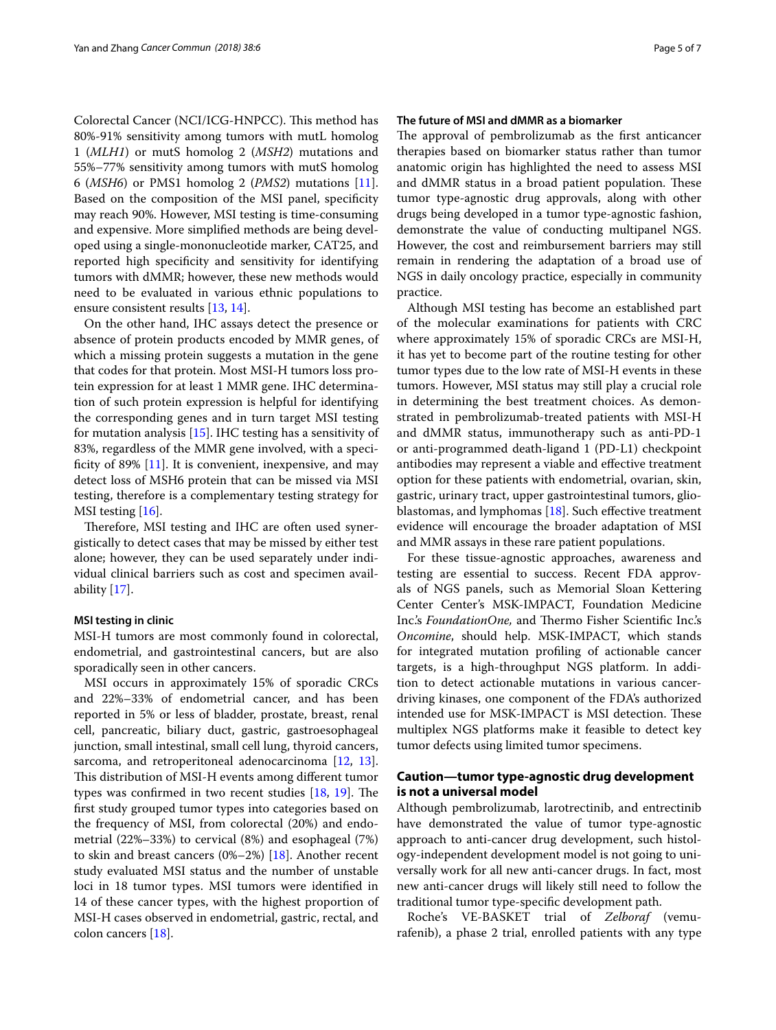Colorectal Cancer (NCI/ICG-HNPCC). This method has 80%-91% sensitivity among tumors with mutL homolog 1 (*MLH1*) or mutS homolog 2 (*MSH2*) mutations and 55%–77% sensitivity among tumors with mutS homolog 6 (*MSH6*) or PMS1 homolog 2 (*PMS2*) mutations [\[11](#page-6-2)]. Based on the composition of the MSI panel, specifcity may reach 90%. However, MSI testing is time-consuming and expensive. More simplifed methods are being developed using a single-mononucleotide marker, CAT25, and reported high specifcity and sensitivity for identifying tumors with dMMR; however, these new methods would need to be evaluated in various ethnic populations to ensure consistent results [[13](#page-6-4), [14\]](#page-6-5).

On the other hand, IHC assays detect the presence or absence of protein products encoded by MMR genes, of which a missing protein suggests a mutation in the gene that codes for that protein. Most MSI-H tumors loss protein expression for at least 1 MMR gene. IHC determination of such protein expression is helpful for identifying the corresponding genes and in turn target MSI testing for mutation analysis [\[15](#page-6-6)]. IHC testing has a sensitivity of 83%, regardless of the MMR gene involved, with a specificity of 89%  $[11]$ . It is convenient, inexpensive, and may detect loss of MSH6 protein that can be missed via MSI testing, therefore is a complementary testing strategy for MSI testing [[16](#page-6-7)].

Therefore, MSI testing and IHC are often used synergistically to detect cases that may be missed by either test alone; however, they can be used separately under individual clinical barriers such as cost and specimen availability [\[17](#page-6-8)].

## **MSI testing in clinic**

MSI-H tumors are most commonly found in colorectal, endometrial, and gastrointestinal cancers, but are also sporadically seen in other cancers.

MSI occurs in approximately 15% of sporadic CRCs and 22%–33% of endometrial cancer, and has been reported in 5% or less of bladder, prostate, breast, renal cell, pancreatic, biliary duct, gastric, gastroesophageal junction, small intestinal, small cell lung, thyroid cancers, sarcoma, and retroperitoneal adenocarcinoma [[12,](#page-6-3) [13](#page-6-4)]. This distribution of MSI-H events among different tumor types was confirmed in two recent studies  $[18, 19]$  $[18, 19]$  $[18, 19]$  $[18, 19]$  $[18, 19]$ . The frst study grouped tumor types into categories based on the frequency of MSI, from colorectal (20%) and endometrial (22%–33%) to cervical (8%) and esophageal (7%) to skin and breast cancers (0%–2%) [\[18](#page-6-9)]. Another recent study evaluated MSI status and the number of unstable loci in 18 tumor types. MSI tumors were identifed in 14 of these cancer types, with the highest proportion of MSI-H cases observed in endometrial, gastric, rectal, and colon cancers [[18\]](#page-6-9).

## **The future of MSI and dMMR as a biomarker**

The approval of pembrolizumab as the first anticancer therapies based on biomarker status rather than tumor anatomic origin has highlighted the need to assess MSI and dMMR status in a broad patient population. These tumor type-agnostic drug approvals, along with other drugs being developed in a tumor type-agnostic fashion, demonstrate the value of conducting multipanel NGS. However, the cost and reimbursement barriers may still remain in rendering the adaptation of a broad use of NGS in daily oncology practice, especially in community practice.

Although MSI testing has become an established part of the molecular examinations for patients with CRC where approximately 15% of sporadic CRCs are MSI-H, it has yet to become part of the routine testing for other tumor types due to the low rate of MSI-H events in these tumors. However, MSI status may still play a crucial role in determining the best treatment choices. As demonstrated in pembrolizumab-treated patients with MSI-H and dMMR status, immunotherapy such as anti-PD-1 or anti-programmed death-ligand 1 (PD-L1) checkpoint antibodies may represent a viable and efective treatment option for these patients with endometrial, ovarian, skin, gastric, urinary tract, upper gastrointestinal tumors, glioblastomas, and lymphomas  $[18]$  $[18]$  $[18]$ . Such effective treatment evidence will encourage the broader adaptation of MSI and MMR assays in these rare patient populations.

For these tissue-agnostic approaches, awareness and testing are essential to success. Recent FDA approvals of NGS panels, such as Memorial Sloan Kettering Center Center's MSK-IMPACT, Foundation Medicine Inc.'s *FoundationOne*, and Thermo Fisher Scientific Inc.'s *Oncomine*, should help. MSK-IMPACT, which stands for integrated mutation profling of actionable cancer targets, is a high-throughput NGS platform. In addition to detect actionable mutations in various cancerdriving kinases, one component of the FDA's authorized intended use for MSK-IMPACT is MSI detection. These multiplex NGS platforms make it feasible to detect key tumor defects using limited tumor specimens.

## **Caution—tumor type‑agnostic drug development is not a universal model**

Although pembrolizumab, larotrectinib, and entrectinib have demonstrated the value of tumor type-agnostic approach to anti-cancer drug development, such histology-independent development model is not going to universally work for all new anti-cancer drugs. In fact, most new anti-cancer drugs will likely still need to follow the traditional tumor type-specifc development path.

Roche's VE-BASKET trial of *Zelboraf* (vemurafenib), a phase 2 trial, enrolled patients with any type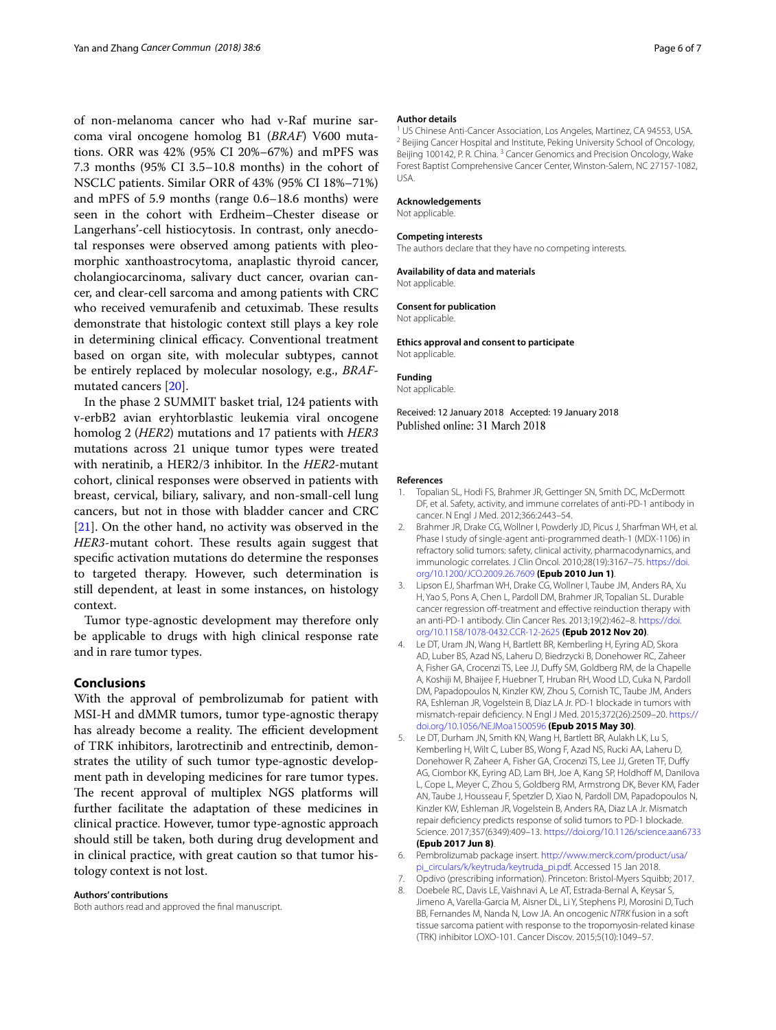of non-melanoma cancer who had v-Raf murine sarcoma viral oncogene homolog B1 (*BRAF*) V600 mutations. ORR was 42% (95% CI 20%–67%) and mPFS was 7.3 months (95% CI 3.5–10.8 months) in the cohort of NSCLC patients. Similar ORR of 43% (95% CI 18%–71%) and mPFS of 5.9 months (range 0.6–18.6 months) were seen in the cohort with Erdheim–Chester disease or Langerhans'-cell histiocytosis. In contrast, only anecdotal responses were observed among patients with pleomorphic xanthoastrocytoma, anaplastic thyroid cancer, cholangiocarcinoma, salivary duct cancer, ovarian cancer, and clear-cell sarcoma and among patients with CRC who received vemurafenib and cetuximab. These results demonstrate that histologic context still plays a key role in determining clinical efficacy. Conventional treatment based on organ site, with molecular subtypes, cannot be entirely replaced by molecular nosology, e.g., *BRAF*mutated cancers [[20](#page-6-11)].

In the phase 2 SUMMIT basket trial, 124 patients with v-erbB2 avian eryhtorblastic leukemia viral oncogene homolog 2 (*HER2*) mutations and 17 patients with *HER3* mutations across 21 unique tumor types were treated with neratinib, a HER2/3 inhibitor. In the *HER2*-mutant cohort, clinical responses were observed in patients with breast, cervical, biliary, salivary, and non-small-cell lung cancers, but not in those with bladder cancer and CRC [[21\]](#page-6-12). On the other hand, no activity was observed in the *HER3*-mutant cohort. These results again suggest that specifc activation mutations do determine the responses to targeted therapy. However, such determination is still dependent, at least in some instances, on histology context.

Tumor type-agnostic development may therefore only be applicable to drugs with high clinical response rate and in rare tumor types.

## **Conclusions**

With the approval of pembrolizumab for patient with MSI-H and dMMR tumors, tumor type-agnostic therapy has already become a reality. The efficient development of TRK inhibitors, larotrectinib and entrectinib, demonstrates the utility of such tumor type-agnostic development path in developing medicines for rare tumor types. The recent approval of multiplex NGS platforms will further facilitate the adaptation of these medicines in clinical practice. However, tumor type-agnostic approach should still be taken, both during drug development and in clinical practice, with great caution so that tumor histology context is not lost.

#### **Authors' contributions**

Both authors read and approved the fnal manuscript.

#### **Author details**

<sup>1</sup> US Chinese Anti-Cancer Association, Los Angeles, Martinez, CA 94553, USA. <sup>2</sup> Beijing Cancer Hospital and Institute, Peking University School of Oncology, Beijing 100142, P. R. China.<sup>3</sup> Cancer Genomics and Precision Oncology, Wake Forest Baptist Comprehensive Cancer Center, Winston-Salem, NC 27157-1082, USA.

## **Acknowledgements**

Not applicable.

#### **Competing interests**

The authors declare that they have no competing interests.

#### **Availability of data and materials**

Not applicable.

#### **Consent for publication**

Not applicable.

### **Ethics approval and consent to participate** Not applicable.

# **Funding**

Not applicable.

Received: 12 January 2018 Accepted: 19 January 2018 Published online: 31 March 2018

## **References**

- <span id="page-5-0"></span>1. Topalian SL, Hodi FS, Brahmer JR, Gettinger SN, Smith DC, McDermott DF, et al. Safety, activity, and immune correlates of anti-PD-1 antibody in cancer. N Engl J Med. 2012;366:2443–54.
- <span id="page-5-1"></span>2. Brahmer JR, Drake CG, Wollner I, Powderly JD, Picus J, Sharfman WH, et al. Phase I study of single-agent anti-programmed death-1 (MDX-1106) in refractory solid tumors: safety, clinical activity, pharmacodynamics, and immunologic correlates. J Clin Oncol. 2010;28(19):3167–75. [https://doi.](https://doi.org/10.1200/JCO.2009.26.7609) [org/10.1200/JCO.2009.26.7609](https://doi.org/10.1200/JCO.2009.26.7609) **(Epub 2010 Jun 1)**.
- <span id="page-5-2"></span>3. Lipson EJ, Sharfman WH, Drake CG, Wollner I, Taube JM, Anders RA, Xu H, Yao S, Pons A, Chen L, Pardoll DM, Brahmer JR, Topalian SL. Durable cancer regression off-treatment and effective reinduction therapy with an anti-PD-1 antibody. Clin Cancer Res. 2013;19(2):462–8. [https://doi.](https://doi.org/10.1158/1078-0432.CCR-12-2625) [org/10.1158/1078-0432.CCR-12-2625](https://doi.org/10.1158/1078-0432.CCR-12-2625) **(Epub 2012 Nov 20)**.
- <span id="page-5-3"></span>4. Le DT, Uram JN, Wang H, Bartlett BR, Kemberling H, Eyring AD, Skora AD, Luber BS, Azad NS, Laheru D, Biedrzycki B, Donehower RC, Zaheer A, Fisher GA, Crocenzi TS, Lee JJ, Dufy SM, Goldberg RM, de la Chapelle A, Koshiji M, Bhaijee F, Huebner T, Hruban RH, Wood LD, Cuka N, Pardoll DM, Papadopoulos N, Kinzler KW, Zhou S, Cornish TC, Taube JM, Anders RA, Eshleman JR, Vogelstein B, Diaz LA Jr. PD-1 blockade in tumors with mismatch-repair defciency. N Engl J Med. 2015;372(26):2509–20. [https://](https://doi.org/10.1056/NEJMoa1500596) [doi.org/10.1056/NEJMoa1500596](https://doi.org/10.1056/NEJMoa1500596) **(Epub 2015 May 30)**.
- <span id="page-5-4"></span>5. Le DT, Durham JN, Smith KN, Wang H, Bartlett BR, Aulakh LK, Lu S, Kemberling H, Wilt C, Luber BS, Wong F, Azad NS, Rucki AA, Laheru D, Donehower R, Zaheer A, Fisher GA, Crocenzi TS, Lee JJ, Greten TF, Dufy AG, Ciombor KK, Eyring AD, Lam BH, Joe A, Kang SP, Holdhoff M, Danilova L, Cope L, Meyer C, Zhou S, Goldberg RM, Armstrong DK, Bever KM, Fader AN, Taube J, Housseau F, Spetzler D, Xiao N, Pardoll DM, Papadopoulos N, Kinzler KW, Eshleman JR, Vogelstein B, Anders RA, Diaz LA Jr. Mismatch repair defciency predicts response of solid tumors to PD-1 blockade. Science. 2017;357(6349):409–13. <https://doi.org/10.1126/science.aan6733> **(Epub 2017 Jun 8)**.
- <span id="page-5-5"></span>6. Pembrolizumab package insert. [http://www.merck.com/product/usa/](http://www.merck.com/product/usa/pi_circulars/k/keytruda/keytruda_pi.pdf) [pi\\_circulars/k/keytruda/keytruda\\_pi.pdf.](http://www.merck.com/product/usa/pi_circulars/k/keytruda/keytruda_pi.pdf) Accessed 15 Jan 2018.
- <span id="page-5-6"></span>7. Opdivo (prescribing information). Princeton: Bristol-Myers Squibb; 2017.
- <span id="page-5-7"></span>8. Doebele RC, Davis LE, Vaishnavi A, Le AT, Estrada-Bernal A, Keysar S, Jimeno A, Varella-Garcia M, Aisner DL, Li Y, Stephens PJ, Morosini D, Tuch BB, Fernandes M, Nanda N, Low JA. An oncogenic *NTRK* fusion in a soft tissue sarcoma patient with response to the tropomyosin-related kinase (TRK) inhibitor LOXO-101. Cancer Discov. 2015;5(10):1049–57.